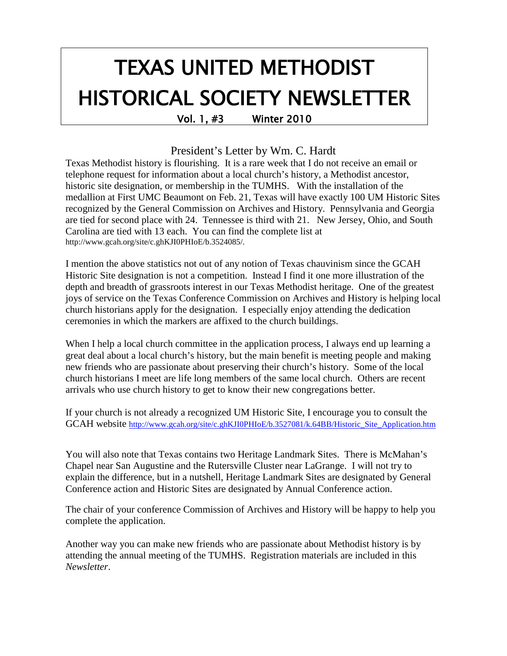# TEXAS UNITED METHODIST HISTORICAL SOCIETY NEWSLETTER<br>Vol. 1, #3 Winter 2010

#### President's Letter by Wm. C. Hardt

Texas Methodist history is flourishing. It is a rare week that I do not receive an email or telephone request for information about a local church's history, a Methodist ancestor, historic site designation, or membership in the TUMHS. With the installation of the medallion at First UMC Beaumont on Feb. 21, Texas will have exactly 100 UM Historic Sites recognized by the General Commission on Archives and History. Pennsylvania and Georgia are tied for second place with 24. Tennessee is third with 21. New Jersey, Ohio, and South Carolina are tied with 13 each. You can find the complete list at http://www.gcah.org/site/c.ghKJI0PHIoE/b.3524085/.

I mention the above statistics not out of any notion of Texas chauvinism since the GCAH Historic Site designation is not a competition. Instead I find it one more illustration of the depth and breadth of grassroots interest in our Texas Methodist heritage. One of the greatest joys of service on the Texas Conference Commission on Archives and History is helping local church historians apply for the designation. I especially enjoy attending the dedication ceremonies in which the markers are affixed to the church buildings.

When I help a local church committee in the application process, I always end up learning a great deal about a local church's history, but the main benefit is meeting people and making new friends who are passionate about preserving their church's history. Some of the local church historians I meet are life long members of the same local church. Others are recent arrivals who use church history to get to know their new congregations better.

If your church is not already a recognized UM Historic Site, I encourage you to consult the GCAH website [http://www.gcah.org/site/c.ghKJI0PHIoE/b.3527081/k.64BB/Historic\\_Site\\_Application.htm](http://www.gcah.org/site/c.ghKJI0PHIoE/b.3527081/k.64BB/Historic_Site_Application.htm)

You will also note that Texas contains two Heritage Landmark Sites. There is McMahan's Chapel near San Augustine and the Rutersville Cluster near LaGrange. I will not try to explain the difference, but in a nutshell, Heritage Landmark Sites are designated by General Conference action and Historic Sites are designated by Annual Conference action.

The chair of your conference Commission of Archives and History will be happy to help you complete the application.

Another way you can make new friends who are passionate about Methodist history is by attending the annual meeting of the TUMHS. Registration materials are included in this *Newsletter*.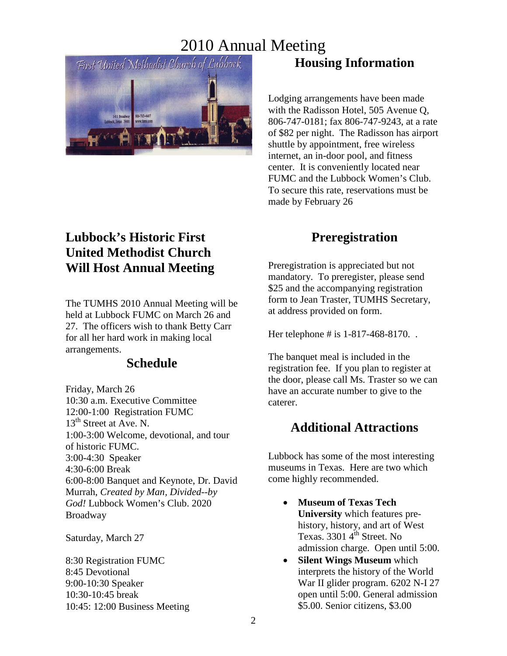

### **Lubbock's Historic First United Methodist Church Will Host Annual Meeting**

The TUMHS 2010 Annual Meeting will be held at Lubbock FUMC on March 26 and 27. The officers wish to thank Betty Carr for all her hard work in making local arrangements.

#### **Schedule**

Friday, March 26 10:30 a.m. Executive Committee 12:00-1:00 Registration FUMC 13<sup>th</sup> Street at Ave. N. 1:00-3:00 Welcome, devotional, and tour of historic FUMC. 3:00-4:30 Speaker 4:30-6:00 Break 6:00-8:00 Banquet and Keynote, Dr. David Murrah, *Created by Man, Divided--by God!* Lubbock Women's Club. 2020 Broadway

Saturday, March 27

8:30 Registration FUMC 8:45 Devotional 9:00-10:30 Speaker 10:30-10:45 break 10:45: 12:00 Business Meeting

# **Housing Information**

Lodging arrangements have been made with the Radisson Hotel, 505 Avenue Q, 806-747-0181; fax 806-747-9243, at a rate of \$82 per night. The Radisson has airport shuttle by appointment, free wireless internet, an in-door pool, and fitness center. It is conveniently located near FUMC and the Lubbock Women's Club. To secure this rate, reservations must be made by February 26

### **Preregistration**

Preregistration is appreciated but not mandatory. To preregister, please send \$25 and the accompanying registration form to Jean Traster, TUMHS Secretary, at address provided on form.

Her telephone # is 1-817-468-8170. .

The banquet meal is included in the registration fee. If you plan to register at the door, please call Ms. Traster so we can have an accurate number to give to the caterer.

#### **Additional Attractions**

Lubbock has some of the most interesting museums in Texas. Here are two which come highly recommended.

- **Museum of Texas Tech University** which features prehistory, history, and art of West Texas. 3301 4<sup>th</sup> Street. No admission charge. Open until 5:00.
- **Silent Wings Museum** which interprets the history of the World War II glider program. 6202 N-I 27 open until 5:00. General admission \$5.00. Senior citizens, \$3.00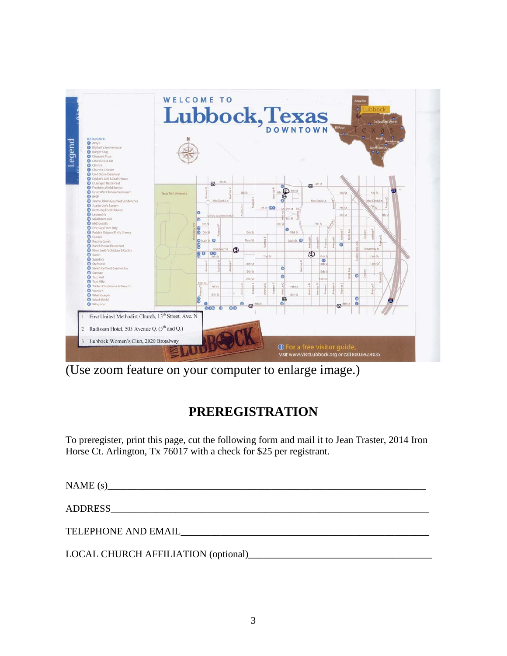

(Use zoom feature on your computer to enlarge image.)

# **PREREGISTRATION**

To preregister, print this page, cut the following form and mail it to Jean Traster, 2014 Iron Horse Ct. Arlington, Tx 76017 with a check for \$25 per registrant.

 $NAME (s)$ ADDRESS\_\_\_\_\_\_\_\_\_\_\_\_\_\_\_\_\_\_\_\_\_\_\_\_\_\_\_\_\_\_\_\_\_\_\_\_\_\_\_\_\_\_\_\_\_\_\_\_\_\_\_\_\_\_\_\_\_\_\_\_\_\_\_\_ TELEPHONE AND EMAIL\_\_\_\_\_\_\_\_\_\_\_\_\_\_\_\_\_\_\_\_\_\_\_\_\_\_\_\_\_\_\_\_\_\_\_\_\_\_\_\_\_\_\_\_\_\_\_\_\_\_ LOCAL CHURCH AFFILIATION (optional)\_\_\_\_\_\_\_\_\_\_\_\_\_\_\_\_\_\_\_\_\_\_\_\_\_\_\_\_\_\_\_\_\_\_\_\_\_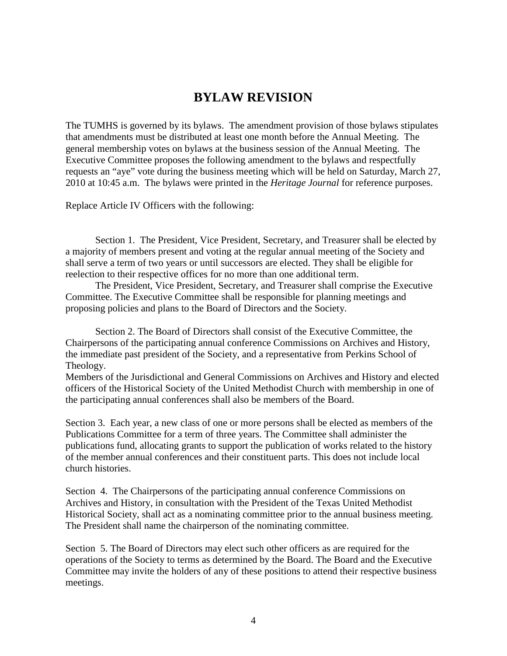#### **BYLAW REVISION**

The TUMHS is governed by its bylaws. The amendment provision of those bylaws stipulates that amendments must be distributed at least one month before the Annual Meeting. The general membership votes on bylaws at the business session of the Annual Meeting. The Executive Committee proposes the following amendment to the bylaws and respectfully requests an "aye" vote during the business meeting which will be held on Saturday, March 27, 2010 at 10:45 a.m. The bylaws were printed in the *Heritage Journal* for reference purposes.

Replace Article IV Officers with the following:

 Section 1. The President, Vice President, Secretary, and Treasurer shall be elected by a majority of members present and voting at the regular annual meeting of the Society and shall serve a term of two years or until successors are elected. They shall be eligible for reelection to their respective offices for no more than one additional term.

 The President, Vice President, Secretary, and Treasurer shall comprise the Executive Committee. The Executive Committee shall be responsible for planning meetings and proposing policies and plans to the Board of Directors and the Society.

 Section 2. The Board of Directors shall consist of the Executive Committee, the Chairpersons of the participating annual conference Commissions on Archives and History, the immediate past president of the Society, and a representative from Perkins School of Theology.

Members of the Jurisdictional and General Commissions on Archives and History and elected officers of the Historical Society of the United Methodist Church with membership in one of the participating annual conferences shall also be members of the Board.

Section 3. Each year, a new class of one or more persons shall be elected as members of the Publications Committee for a term of three years. The Committee shall administer the publications fund, allocating grants to support the publication of works related to the history of the member annual conferences and their constituent parts. This does not include local church histories.

Section 4. The Chairpersons of the participating annual conference Commissions on Archives and History, in consultation with the President of the Texas United Methodist Historical Society, shall act as a nominating committee prior to the annual business meeting. The President shall name the chairperson of the nominating committee.

Section 5. The Board of Directors may elect such other officers as are required for the operations of the Society to terms as determined by the Board. The Board and the Executive Committee may invite the holders of any of these positions to attend their respective business meetings.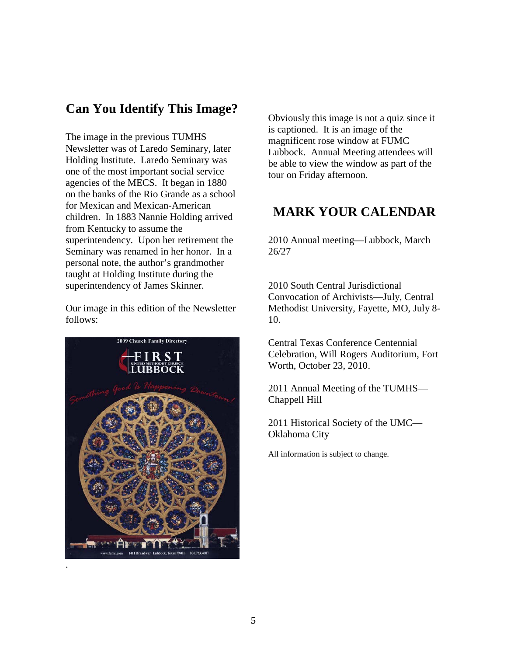#### **Can You Identify This Image?**

The image in the previous TUMHS Newsletter was of Laredo Seminary, later Holding Institute. Laredo Seminary was one of the most important social service agencies of the MECS. It began in 1880 on the banks of the Rio Grande as a school for Mexican and Mexican-American children. In 1883 Nannie Holding arrived from Kentucky to assume the superintendency. Upon her retirement the Seminary was renamed in her honor. In a personal note, the author's grandmother taught at Holding Institute during the superintendency of James Skinner.

Our image in this edition of the Newsletter follows:



Obviously this image is not a quiz since it is captioned. It is an image of the magnificent rose window at FUMC Lubbock. Annual Meeting attendees will be able to view the window as part of the tour on Friday afternoon.

#### **MARK YOUR CALENDAR**

2010 Annual meeting—Lubbock, March 26/27

2010 South Central Jurisdictional Convocation of Archivists—July, Central Methodist University, Fayette, MO, July 8- 10.

Central Texas Conference Centennial Celebration, Will Rogers Auditorium, Fort Worth, October 23, 2010.

2011 Annual Meeting of the TUMHS— Chappell Hill

2011 Historical Society of the UMC— Oklahoma City

All information is subject to change.